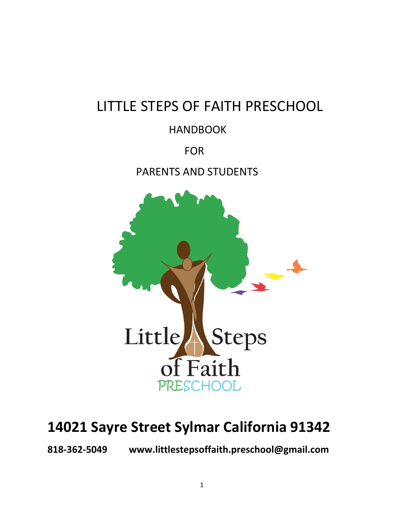# LITTLE STEPS OF FAITH PRESCHOOL

## HANDBOOK

## FOR

## PARENTS AND STUDENTS



# **14021 Sayre Street Sylmar California 91342**

**818-362-5049 www.littlestepsoffaith.preschool@gmail.com**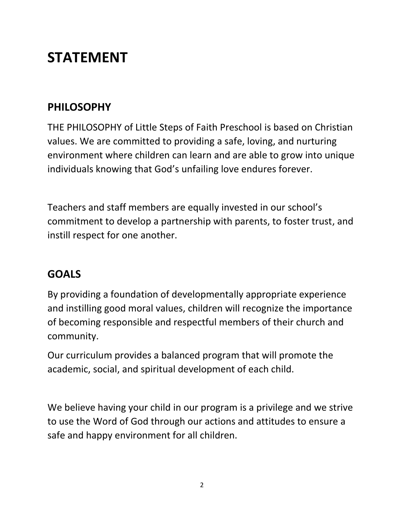# **STATEMENT**

## **PHILOSOPHY**

THE PHILOSOPHY of Little Steps of Faith Preschool is based on Christian values. We are committed to providing a safe, loving, and nurturing environment where children can learn and are able to grow into unique individuals knowing that God's unfailing love endures forever.

Teachers and staff members are equally invested in our school's commitment to develop a partnership with parents, to foster trust, and instill respect for one another.

## **GOALS**

By providing a foundation of developmentally appropriate experience and instilling good moral values, children will recognize the importance of becoming responsible and respectful members of their church and community.

Our curriculum provides a balanced program that will promote the academic, social, and spiritual development of each child.

We believe having your child in our program is a privilege and we strive to use the Word of God through our actions and attitudes to ensure a safe and happy environment for all children.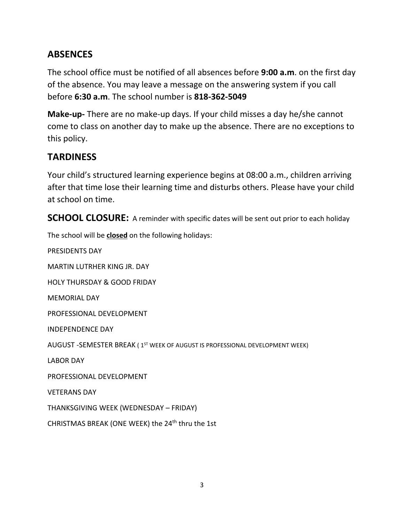## **ABSENCES**

The school office must be notified of all absences before **9:00 a.m**. on the first day of the absence. You may leave a message on the answering system if you call before **6:30 a.m**. The school number is **818-362-5049**

**Make-up-** There are no make-up days. If your child misses a day he/she cannot come to class on another day to make up the absence. There are no exceptions to this policy.

## **TARDINESS**

Your child's structured learning experience begins at 08:00 a.m., children arriving after that time lose their learning time and disturbs others. Please have your child at school on time.

**SCHOOL CLOSURE:** A reminder with specific dates will be sent out prior to each holiday

The school will be **closed** on the following holidays:

PRESIDENTS DAY MARTIN LUTRHER KING JR. DAY HOLY THURSDAY & GOOD FRIDAY MEMORIAL DAY PROFESSIONAL DEVELOPMENT INDEPENDENCE DAY AUGUST -SEMESTER BREAK ( 1<sup>st</sup> week of august is professional development week) LABOR DAY PROFESSIONAL DEVELOPMENT VETERANS DAY THANKSGIVING WEEK (WEDNESDAY – FRIDAY) CHRISTMAS BREAK (ONE WEEK) the 24<sup>th</sup> thru the 1st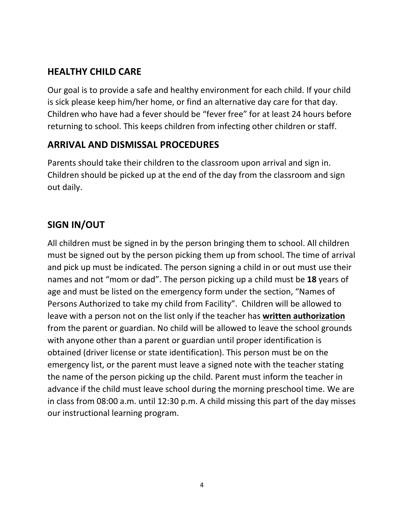## **HEALTHY CHILD CARE**

Our goal is to provide a safe and healthy environment for each child. If your child is sick please keep him/her home, or find an alternative day care for that day. Children who have had a fever should be "fever free" for at least 24 hours before returning to school. This keeps children from infecting other children or staff.

## **ARRIVAL AND DISMISSAL PROCEDURES**

Parents should take their children to the classroom upon arrival and sign in. Children should be picked up at the end of the day from the classroom and sign out daily.

## **SIGN IN/OUT**

All children must be signed in by the person bringing them to school. All children must be signed out by the person picking them up from school. The time of arrival and pick up must be indicated. The person signing a child in or out must use their names and not "mom or dad". The person picking up a child must be **18** years of age and must be listed on the emergency form under the section, "Names of Persons Authorized to take my child from Facility". Children will be allowed to leave with a person not on the list only if the teacher has **written authorization**  from the parent or guardian. No child will be allowed to leave the school grounds with anyone other than a parent or guardian until proper identification is obtained (driver license or state identification). This person must be on the emergency list, or the parent must leave a signed note with the teacher stating the name of the person picking up the child. Parent must inform the teacher in advance if the child must leave school during the morning preschool time. We are in class from 08:00 a.m. until 12:30 p.m. A child missing this part of the day misses our instructional learning program.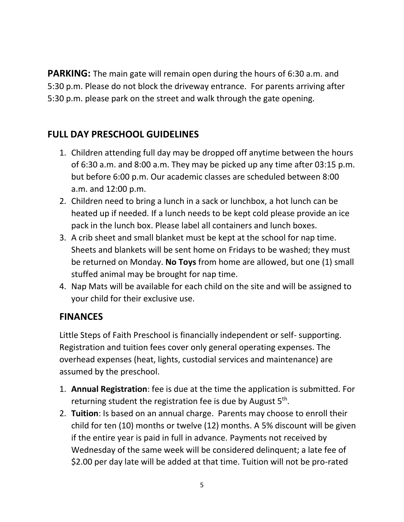**PARKING:** The main gate will remain open during the hours of 6:30 a.m. and 5:30 p.m. Please do not block the driveway entrance. For parents arriving after 5:30 p.m. please park on the street and walk through the gate opening.

## **FULL DAY PRESCHOOL GUIDELINES**

- 1. Children attending full day may be dropped off anytime between the hours of 6:30 a.m. and 8:00 a.m. They may be picked up any time after 03:15 p.m. but before 6:00 p.m. Our academic classes are scheduled between 8:00 a.m. and 12:00 p.m.
- 2. Children need to bring a lunch in a sack or lunchbox, a hot lunch can be heated up if needed. If a lunch needs to be kept cold please provide an ice pack in the lunch box. Please label all containers and lunch boxes.
- 3. A crib sheet and small blanket must be kept at the school for nap time. Sheets and blankets will be sent home on Fridays to be washed; they must be returned on Monday. **No Toys** from home are allowed, but one (1) small stuffed animal may be brought for nap time.
- 4. Nap Mats will be available for each child on the site and will be assigned to your child for their exclusive use.

#### **FINANCES**

Little Steps of Faith Preschool is financially independent or self- supporting. Registration and tuition fees cover only general operating expenses. The overhead expenses (heat, lights, custodial services and maintenance) are assumed by the preschool.

- 1. **Annual Registration**: fee is due at the time the application is submitted. For returning student the registration fee is due by August 5<sup>th</sup>.
- 2. **Tuition**: Is based on an annual charge. Parents may choose to enroll their child for ten (10) months or twelve (12) months. A 5% discount will be given if the entire year is paid in full in advance. Payments not received by Wednesday of the same week will be considered delinquent; a late fee of \$2.00 per day late will be added at that time. Tuition will not be pro-rated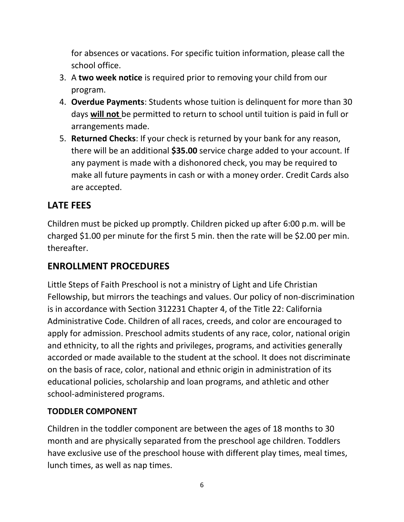for absences or vacations. For specific tuition information, please call the school office.

- 3. A **two week notice** is required prior to removing your child from our program.
- 4. **Overdue Payments**: Students whose tuition is delinquent for more than 30 days **will not** be permitted to return to school until tuition is paid in full or arrangements made.
- 5. **Returned Checks**: If your check is returned by your bank for any reason, there will be an additional **\$35.00** service charge added to your account. If any payment is made with a dishonored check, you may be required to make all future payments in cash or with a money order. Credit Cards also are accepted.

## **LATE FEES**

Children must be picked up promptly. Children picked up after 6:00 p.m. will be charged \$1.00 per minute for the first 5 min. then the rate will be \$2.00 per min. thereafter.

## **ENROLLMENT PROCEDURES**

Little Steps of Faith Preschool is not a ministry of Light and Life Christian Fellowship, but mirrors the teachings and values. Our policy of non-discrimination is in accordance with Section 312231 Chapter 4, of the Title 22: California Administrative Code. Children of all races, creeds, and color are encouraged to apply for admission. Preschool admits students of any race, color, national origin and ethnicity, to all the rights and privileges, programs, and activities generally accorded or made available to the student at the school. It does not discriminate on the basis of race, color, national and ethnic origin in administration of its educational policies, scholarship and loan programs, and athletic and other school-administered programs.

#### **TODDLER COMPONENT**

Children in the toddler component are between the ages of 18 months to 30 month and are physically separated from the preschool age children. Toddlers have exclusive use of the preschool house with different play times, meal times, lunch times, as well as nap times.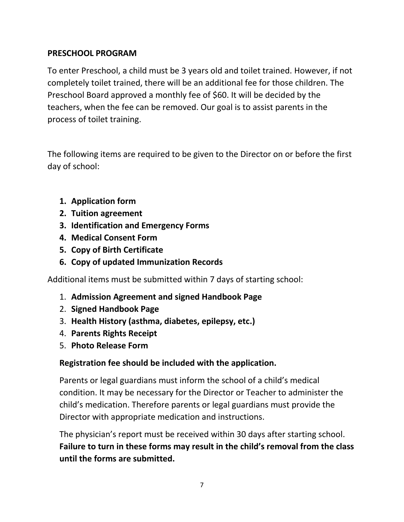#### **PRESCHOOL PROGRAM**

To enter Preschool, a child must be 3 years old and toilet trained. However, if not completely toilet trained, there will be an additional fee for those children. The Preschool Board approved a monthly fee of \$60. It will be decided by the teachers, when the fee can be removed. Our goal is to assist parents in the process of toilet training.

The following items are required to be given to the Director on or before the first day of school:

- **1. Application form**
- **2. Tuition agreement**
- **3. Identification and Emergency Forms**
- **4. Medical Consent Form**
- **5. Copy of Birth Certificate**
- **6. Copy of updated Immunization Records**

Additional items must be submitted within 7 days of starting school:

- 1. **Admission Agreement and signed Handbook Page**
- 2. **Signed Handbook Page**
- 3. **Health History (asthma, diabetes, epilepsy, etc.)**
- 4. **Parents Rights Receipt**
- 5. **Photo Release Form**

#### **Registration fee should be included with the application.**

Parents or legal guardians must inform the school of a child's medical condition. It may be necessary for the Director or Teacher to administer the child's medication. Therefore parents or legal guardians must provide the Director with appropriate medication and instructions.

The physician's report must be received within 30 days after starting school. **Failure to turn in these forms may result in the child's removal from the class until the forms are submitted.**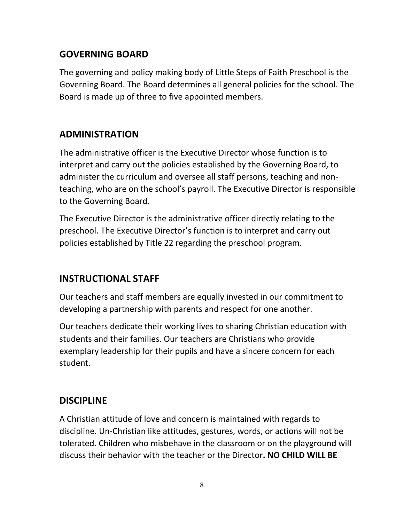#### **GOVERNING BOARD**

The governing and policy making body of Little Steps of Faith Preschool is the Governing Board. The Board determines all general policies for the school. The Board is made up of three to five appointed members.

## **ADMINISTRATION**

The administrative officer is the Executive Director whose function is to interpret and carry out the policies established by the Governing Board, to administer the curriculum and oversee all staff persons, teaching and nonteaching, who are on the school's payroll. The Executive Director is responsible to the Governing Board.

The Executive Director is the administrative officer directly relating to the preschool. The Executive Director's function is to interpret and carry out policies established by Title 22 regarding the preschool program.

## **INSTRUCTIONAL STAFF**

Our teachers and staff members are equally invested in our commitment to developing a partnership with parents and respect for one another.

Our teachers dedicate their working lives to sharing Christian education with students and their families. Our teachers are Christians who provide exemplary leadership for their pupils and have a sincere concern for each student.

#### **DISCIPLINE**

A Christian attitude of love and concern is maintained with regards to discipline. Un-Christian like attitudes, gestures, words, or actions will not be tolerated. Children who misbehave in the classroom or on the playground will discuss their behavior with the teacher or the Director**. NO CHILD WILL BE**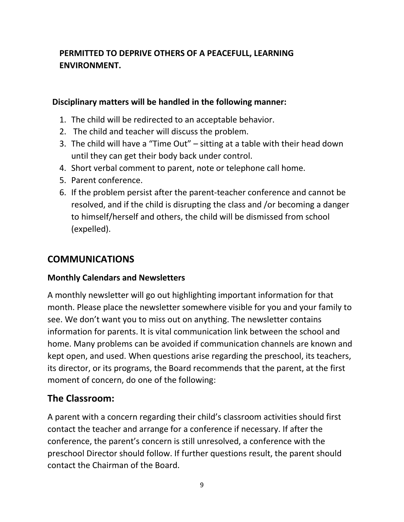## **PERMITTED TO DEPRIVE OTHERS OF A PEACEFULL, LEARNING ENVIRONMENT.**

#### **Disciplinary matters will be handled in the following manner:**

- 1. The child will be redirected to an acceptable behavior.
- 2. The child and teacher will discuss the problem.
- 3. The child will have a "Time Out" sitting at a table with their head down until they can get their body back under control.
- 4. Short verbal comment to parent, note or telephone call home.
- 5. Parent conference.
- 6. If the problem persist after the parent-teacher conference and cannot be resolved, and if the child is disrupting the class and /or becoming a danger to himself/herself and others, the child will be dismissed from school (expelled).

## **COMMUNICATIONS**

#### **Monthly Calendars and Newsletters**

A monthly newsletter will go out highlighting important information for that month. Please place the newsletter somewhere visible for you and your family to see. We don't want you to miss out on anything. The newsletter contains information for parents. It is vital communication link between the school and home. Many problems can be avoided if communication channels are known and kept open, and used. When questions arise regarding the preschool, its teachers, its director, or its programs, the Board recommends that the parent, at the first moment of concern, do one of the following:

#### **The Classroom:**

A parent with a concern regarding their child's classroom activities should first contact the teacher and arrange for a conference if necessary. If after the conference, the parent's concern is still unresolved, a conference with the preschool Director should follow. If further questions result, the parent should contact the Chairman of the Board.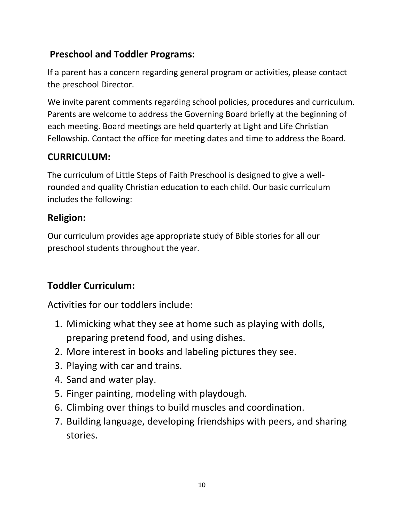## **Preschool and Toddler Programs:**

If a parent has a concern regarding general program or activities, please contact the preschool Director.

We invite parent comments regarding school policies, procedures and curriculum. Parents are welcome to address the Governing Board briefly at the beginning of each meeting. Board meetings are held quarterly at Light and Life Christian Fellowship. Contact the office for meeting dates and time to address the Board.

## **CURRICULUM:**

The curriculum of Little Steps of Faith Preschool is designed to give a wellrounded and quality Christian education to each child. Our basic curriculum includes the following:

## **Religion:**

Our curriculum provides age appropriate study of Bible stories for all our preschool students throughout the year.

## **Toddler Curriculum:**

Activities for our toddlers include:

- 1. Mimicking what they see at home such as playing with dolls, preparing pretend food, and using dishes.
- 2. More interest in books and labeling pictures they see.
- 3. Playing with car and trains.
- 4. Sand and water play.
- 5. Finger painting, modeling with playdough.
- 6. Climbing over things to build muscles and coordination.
- 7. Building language, developing friendships with peers, and sharing stories.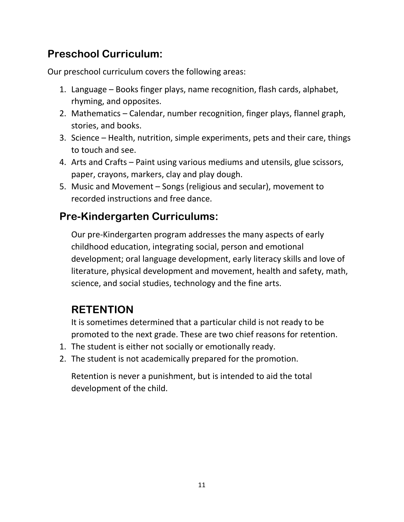## **Preschool Curriculum:**

Our preschool curriculum covers the following areas:

- 1. Language Books finger plays, name recognition, flash cards, alphabet, rhyming, and opposites.
- 2. Mathematics Calendar, number recognition, finger plays, flannel graph, stories, and books.
- 3. Science Health, nutrition, simple experiments, pets and their care, things to touch and see.
- 4. Arts and Crafts Paint using various mediums and utensils, glue scissors, paper, crayons, markers, clay and play dough.
- 5. Music and Movement Songs (religious and secular), movement to recorded instructions and free dance.

## **Pre-Kindergarten Curriculums:**

Our pre-Kindergarten program addresses the many aspects of early childhood education, integrating social, person and emotional development; oral language development, early literacy skills and love of literature, physical development and movement, health and safety, math, science, and social studies, technology and the fine arts.

## **RETENTION**

It is sometimes determined that a particular child is not ready to be promoted to the next grade. These are two chief reasons for retention.

- 1. The student is either not socially or emotionally ready.
- 2. The student is not academically prepared for the promotion.

Retention is never a punishment, but is intended to aid the total development of the child.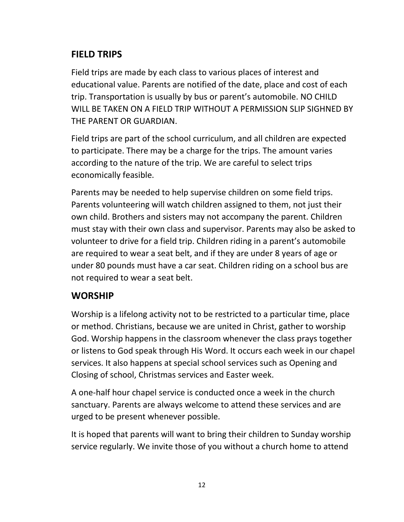## **FIELD TRIPS**

Field trips are made by each class to various places of interest and educational value. Parents are notified of the date, place and cost of each trip. Transportation is usually by bus or parent's automobile. NO CHILD WILL BE TAKEN ON A FIELD TRIP WITHOUT A PERMISSION SLIP SIGHNED BY THE PARENT OR GUARDIAN.

Field trips are part of the school curriculum, and all children are expected to participate. There may be a charge for the trips. The amount varies according to the nature of the trip. We are careful to select trips economically feasible.

Parents may be needed to help supervise children on some field trips. Parents volunteering will watch children assigned to them, not just their own child. Brothers and sisters may not accompany the parent. Children must stay with their own class and supervisor. Parents may also be asked to volunteer to drive for a field trip. Children riding in a parent's automobile are required to wear a seat belt, and if they are under 8 years of age or under 80 pounds must have a car seat. Children riding on a school bus are not required to wear a seat belt.

#### **WORSHIP**

Worship is a lifelong activity not to be restricted to a particular time, place or method. Christians, because we are united in Christ, gather to worship God. Worship happens in the classroom whenever the class prays together or listens to God speak through His Word. It occurs each week in our chapel services. It also happens at special school services such as Opening and Closing of school, Christmas services and Easter week.

A one-half hour chapel service is conducted once a week in the church sanctuary. Parents are always welcome to attend these services and are urged to be present whenever possible.

It is hoped that parents will want to bring their children to Sunday worship service regularly. We invite those of you without a church home to attend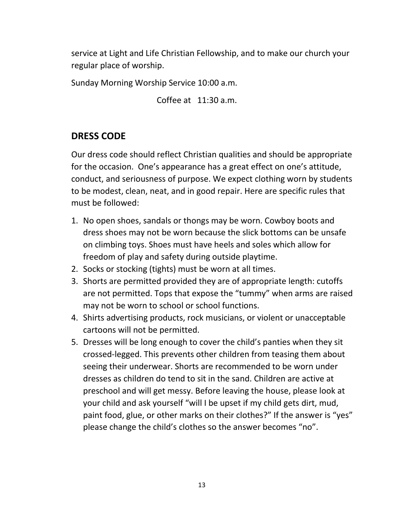service at Light and Life Christian Fellowship, and to make our church your regular place of worship.

Sunday Morning Worship Service 10:00 a.m.

Coffee at 11:30 a.m.

## **DRESS CODE**

Our dress code should reflect Christian qualities and should be appropriate for the occasion. One's appearance has a great effect on one's attitude, conduct, and seriousness of purpose. We expect clothing worn by students to be modest, clean, neat, and in good repair. Here are specific rules that must be followed:

- 1. No open shoes, sandals or thongs may be worn. Cowboy boots and dress shoes may not be worn because the slick bottoms can be unsafe on climbing toys. Shoes must have heels and soles which allow for freedom of play and safety during outside playtime.
- 2. Socks or stocking (tights) must be worn at all times.
- 3. Shorts are permitted provided they are of appropriate length: cutoffs are not permitted. Tops that expose the "tummy" when arms are raised may not be worn to school or school functions.
- 4. Shirts advertising products, rock musicians, or violent or unacceptable cartoons will not be permitted.
- 5. Dresses will be long enough to cover the child's panties when they sit crossed-legged. This prevents other children from teasing them about seeing their underwear. Shorts are recommended to be worn under dresses as children do tend to sit in the sand. Children are active at preschool and will get messy. Before leaving the house, please look at your child and ask yourself "will I be upset if my child gets dirt, mud, paint food, glue, or other marks on their clothes?" If the answer is "yes" please change the child's clothes so the answer becomes "no".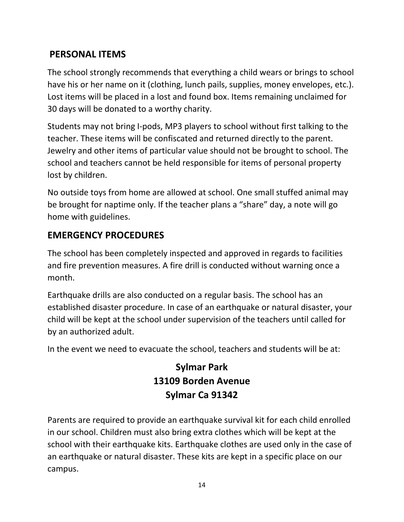## **PERSONAL ITEMS**

The school strongly recommends that everything a child wears or brings to school have his or her name on it (clothing, lunch pails, supplies, money envelopes, etc.). Lost items will be placed in a lost and found box. Items remaining unclaimed for 30 days will be donated to a worthy charity.

Students may not bring I-pods, MP3 players to school without first talking to the teacher. These items will be confiscated and returned directly to the parent. Jewelry and other items of particular value should not be brought to school. The school and teachers cannot be held responsible for items of personal property lost by children.

No outside toys from home are allowed at school. One small stuffed animal may be brought for naptime only. If the teacher plans a "share" day, a note will go home with guidelines.

## **EMERGENCY PROCEDURES**

The school has been completely inspected and approved in regards to facilities and fire prevention measures. A fire drill is conducted without warning once a month.

Earthquake drills are also conducted on a regular basis. The school has an established disaster procedure. In case of an earthquake or natural disaster, your child will be kept at the school under supervision of the teachers until called for by an authorized adult.

In the event we need to evacuate the school, teachers and students will be at:

## **Sylmar Park 13109 Borden Avenue Sylmar Ca 91342**

Parents are required to provide an earthquake survival kit for each child enrolled in our school. Children must also bring extra clothes which will be kept at the school with their earthquake kits. Earthquake clothes are used only in the case of an earthquake or natural disaster. These kits are kept in a specific place on our campus.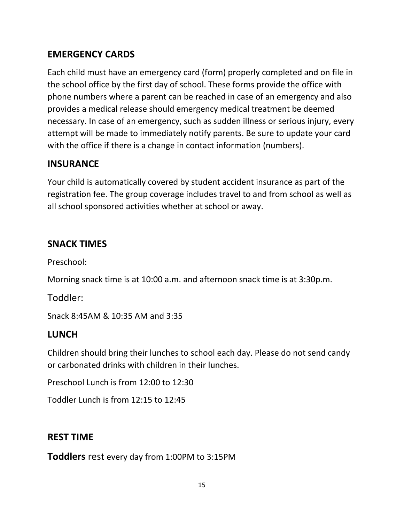## **EMERGENCY CARDS**

Each child must have an emergency card (form) properly completed and on file in the school office by the first day of school. These forms provide the office with phone numbers where a parent can be reached in case of an emergency and also provides a medical release should emergency medical treatment be deemed necessary. In case of an emergency, such as sudden illness or serious injury, every attempt will be made to immediately notify parents. Be sure to update your card with the office if there is a change in contact information (numbers).

## **INSURANCE**

Your child is automatically covered by student accident insurance as part of the registration fee. The group coverage includes travel to and from school as well as all school sponsored activities whether at school or away.

## **SNACK TIMES**

Preschool:

Morning snack time is at 10:00 a.m. and afternoon snack time is at 3:30p.m.

Toddler:

Snack 8:45AM & 10:35 AM and 3:35

#### **LUNCH**

Children should bring their lunches to school each day. Please do not send candy or carbonated drinks with children in their lunches.

Preschool Lunch is from 12:00 to 12:30

Toddler Lunch is from 12:15 to 12:45

## **REST TIME**

**Toddlers** rest every day from 1:00PM to 3:15PM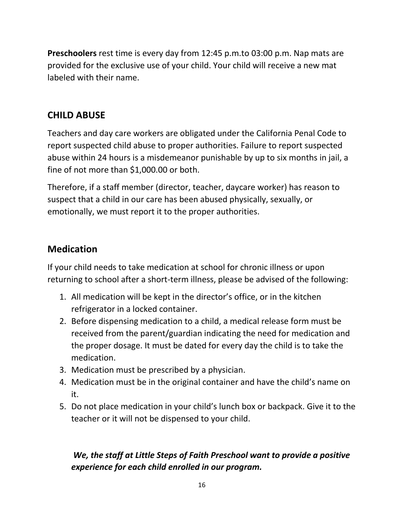**Preschoolers** rest time is every day from 12:45 p.m.to 03:00 p.m. Nap mats are provided for the exclusive use of your child. Your child will receive a new mat labeled with their name.

## **CHILD ABUSE**

Teachers and day care workers are obligated under the California Penal Code to report suspected child abuse to proper authorities. Failure to report suspected abuse within 24 hours is a misdemeanor punishable by up to six months in jail, a fine of not more than \$1,000.00 or both.

Therefore, if a staff member (director, teacher, daycare worker) has reason to suspect that a child in our care has been abused physically, sexually, or emotionally, we must report it to the proper authorities.

## **Medication**

If your child needs to take medication at school for chronic illness or upon returning to school after a short-term illness, please be advised of the following:

- 1. All medication will be kept in the director's office, or in the kitchen refrigerator in a locked container.
- 2. Before dispensing medication to a child, a medical release form must be received from the parent/guardian indicating the need for medication and the proper dosage. It must be dated for every day the child is to take the medication.
- 3. Medication must be prescribed by a physician.
- 4. Medication must be in the original container and have the child's name on it.
- 5. Do not place medication in your child's lunch box or backpack. Give it to the teacher or it will not be dispensed to your child.

## *We, the staff at Little Steps of Faith Preschool want to provide a positive experience for each child enrolled in our program.*